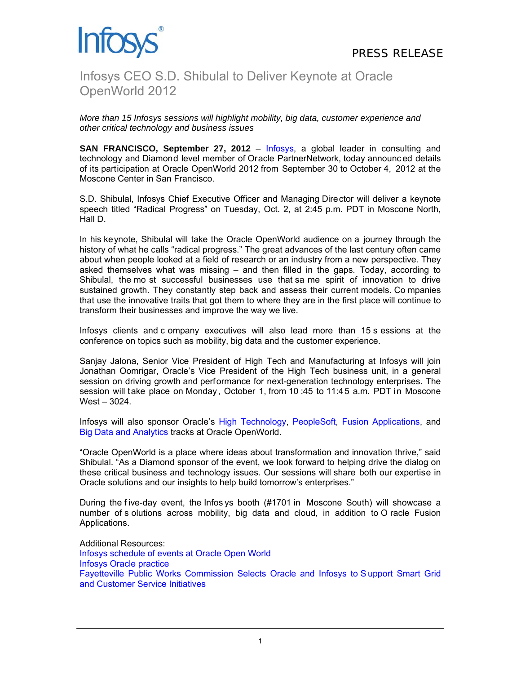

# Infosys CEO S.D. Shibulal to Deliver Keynote at Oracle OpenWorld 2012

*More than 15 Infosys sessions will highlight mobility, big data, customer experience and other critical technology and business issues* 

**SAN FRANCISCO, September 27, 2012** – [Infosys,](http://www.infosys.com/pages/index.aspx) a global leader in consulting and technology and Diamond level member of Oracle PartnerNetwork, today announc ed details of its participation at Oracle OpenWorld 2012 from September 30 to October 4, 2012 at the Moscone Center in San Francisco.

S.D. Shibulal, Infosys Chief Executive Officer and Managing Director will deliver a keynote speech titled "Radical Progress" on Tuesday, Oct. 2, at 2:45 p.m. PDT in Moscone North, Hall D.

In his keynote, Shibulal will take the Oracle OpenWorld audience on a journey through the history of what he calls "radical progress." The great advances of the last century often came about when people looked at a field of research or an industry from a new perspective. They asked themselves what was missing – and then filled in the gaps. Today, according to Shibulal, the mo st successful businesses use that sa me spirit of innovation to drive sustained growth. They constantly step back and assess their current models. Co mpanies that use the innovative traits that got them to where they are in the first place will continue to transform their businesses and improve the way we live.

Infosys clients and c ompany executives will also lead more than 15 s essions at the conference on topics such as mobility, big data and the customer experience.

Sanjay Jalona, Senior Vice President of High Tech and Manufacturing at Infosys will join Jonathan Oomrigar, Oracle's Vice President of the High Tech business unit, in a general session on driving growth and performance for next-generation technology enterprises. The session will take place on Monday, October 1, from 10 :45 to 11:45 a.m. PDT in Moscone West – 3024.

Infosys will also sponsor Oracle's [High Technology,](http://www.oracle.com/openworld/streams/industries/index.html#hightech) [PeopleSoft,](http://www.oracle.com/openworld/streams/secondary-tracks/index.html#people) [Fusion Applications,](http://www.oracle.com/openworld/streams/secondary-tracks/index.html#fusion) and [Big Data and Analytics](http://www.oracle.com/openworld/streams/cross-stream/index.html#bigdata) tracks at Oracle OpenWorld.

"Oracle OpenWorld is a place where ideas about transformation and innovation thrive," said Shibulal. "As a Diamond sponsor of the event, we look forward to helping drive the dialog on these critical business and technology issues. Our sessions will share both our expertise in Oracle solutions and our insights to help build tomorrow's enterprises."

During the f ive-day event, the Infos ys booth (#1701 in Moscone South) will showcase a number of s olutions across mobility, big data and cloud, in addition to O racle Fusion Applications.

Additional Resources: [Infosys schedule of events at Oracle Open World](http://www.infosys.com/oracle-openworld/)  [Infosys Oracle practice](http://www.infosys.com/oracle/pages/index.aspx)  [Fayetteville Public Works Commission Selects Oracle and Infosys to S upport Smart Grid](http://www.infosys.com/newsroom/press-releases/Pages/customer-service-support.aspx)  [and Customer Service Initiatives](http://www.infosys.com/newsroom/press-releases/Pages/customer-service-support.aspx)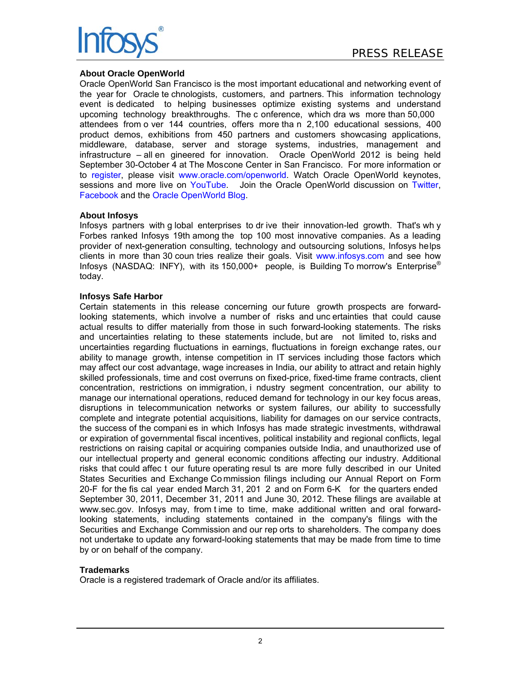

## **About Oracle OpenWorld**

Oracle OpenWorld San Francisco is the most important educational and networking event of the year for Oracle te chnologists, customers, and partners. This information technology event is dedicated to helping businesses optimize existing systems and understand upcoming technology breakthroughs. The c onference, which dra ws more than 50,000 attendees from o ver 144 countries, offers more tha n 2,100 educational sessions, 400 product demos, exhibitions from 450 partners and customers showcasing applications, middleware, database, server and storage systems, industries, management and infrastructure – all en gineered for innovation. Oracle OpenWorld 2012 is being held September 30-October 4 at The Moscone Center in San Francisco. For more information or to [register,](http://www.oracle.com/openworld/register/packages/index.html?src=7328808&Act=171) please visit www.oracle.com/openworld. Watch Oracle OpenWorld keynotes, sessions and more live on [YouTube.](http://www.youtube.com/oracle) Join the Oracle OpenWorld discussion on [Twitter](http://twitter.com/#!/oracleopenworld), [Facebook](https://www.facebook.com/OracleOpenWorld) and the [Oracle OpenWorld Blog.](https://blogs.oracle.com/oracleopenworld/)

#### **About Infosys**

Infosys partners with g lobal enterprises to dr ive their innovation-led growth. That's wh y Forbes ranked Infosys 19th among the top 100 most innovative companies. As a leading provider of next-generation consulting, technology and outsourcing solutions, Infosys helps clients in more than 30 coun tries realize their goals. Visit www.infosys.com and see how Infosys (NASDAQ: INFY), with its 150,000+ people, is Building To morrow's Enterprise<sup>®</sup> today.

#### **Infosys Safe Harbor**

Certain statements in this release concerning our future growth prospects are forwardlooking statements, which involve a number of risks and unc ertainties that could cause actual results to differ materially from those in such forward-looking statements. The risks and uncertainties relating to these statements include, but are not limited to, risks and uncertainties regarding fluctuations in earnings, fluctuations in foreign exchange rates, our ability to manage growth, intense competition in IT services including those factors which may affect our cost advantage, wage increases in India, our ability to attract and retain highly skilled professionals, time and cost overruns on fixed-price, fixed-time frame contracts, client concentration, restrictions on immigration, i ndustry segment concentration, our ability to manage our international operations, reduced demand for technology in our key focus areas, disruptions in telecommunication networks or system failures, our ability to successfully complete and integrate potential acquisitions, liability for damages on our service contracts, the success of the compani es in which Infosys has made strategic investments, withdrawal or expiration of governmental fiscal incentives, political instability and regional conflicts, legal restrictions on raising capital or acquiring companies outside India, and unauthorized use of our intellectual property and general economic conditions affecting our industry. Additional risks that could affec t our future operating resul ts are more fully described in our United States Securities and Exchange Co mmission filings including our Annual Report on Form 20-F for the fis cal year ended March 31, 201 2 and on Form 6-K for the quarters ended September 30, 2011, December 31, 2011 and June 30, 2012. These filings are available at www.sec.gov. Infosys may, from t ime to time, make additional written and oral forwardlooking statements, including statements contained in the company's filings with the Securities and Exchange Commission and our rep orts to shareholders. The company does not undertake to update any forward-looking statements that may be made from time to time by or on behalf of the company.

### **Trademarks**

Oracle is a registered trademark of Oracle and/or its affiliates.